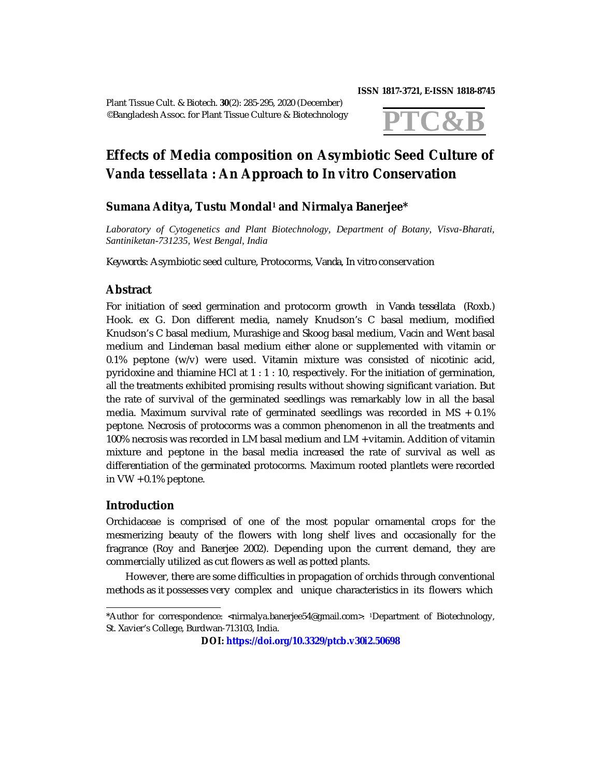Plant Tissue Cult. & Biotech. **30**(2): 285-295, 2020 (December) ©Bangladesh Assoc. for Plant Tissue Culture & Biotechnology

#### **ISSN 1817-3721, E-ISSN 1818-8745**



# **Effects of Media composition on Asymbiotic Seed Culture of**  *Vanda tessellata* **: An Approach to** *In vitro* **Conservation**

## **Sumana Aditya, Tustu Mondal<sup>1</sup> and Nirmalya Banerjee\***

*Laboratory of Cytogenetics and Plant Biotechnology, Department of Botany, Visva-Bharati, Santiniketan-731235, West Bengal, India*

*Keywords:* Asymbiotic seed culture, Protocorms, *Vanda, In vitro* conservation

## **Abstract**

For initiation of seed germination and protocorm growth in *Vanda tessellata* (Roxb.) Hook. ex G. Don different media, namely Knudson's C basal medium, modified Knudson's C basal medium, Murashige and Skoog basal medium, Vacin and Went basal medium and Lindeman basal medium either alone or supplemented with vitamin or 0.1% peptone (w/v) were used. Vitamin mixture was consisted of nicotinic acid, pyridoxine and thiamine HCl at 1 : 1 : 10, respectively. For the initiation of germination, all the treatments exhibited promising results without showing significant variation. But the rate of survival of the germinated seedlings was remarkably low in all the basal media. Maximum survival rate of germinated seedlings was recorded in MS + 0.1% peptone. Necrosis of protocorms was a common phenomenon in all the treatments and 100% necrosis was recorded in LM basal medium and LM + vitamin. Addition of vitamin mixture and peptone in the basal media increased the rate of survival as well as differentiation of the germinated protocorms. Maximum rooted plantlets were recorded in VW + 0.1% peptone.

## **Introduction**

Orchidaceae is comprised of one of the most popular ornamental crops for the mesmerizing beauty of the flowers with long shelf lives and occasionally for the fragrance (Roy and Banerjee 2002). Depending upon the current demand, they are commercially utilized as cut flowers as well as potted plants.

 However, there are some difficulties in propagation of orchids through conventional methods as it possesses very complex and unique characteristics in its flowers which

<sup>\*</sup>Author for correspondence: [<nirmalya.banerjee54@gmail.com>](mailto:nirmalya.banerjee54@gmail.com). 1Department of Biotechnology, St. Xavier's College, Burdwan-713103, India.

**DOI: <https://doi.org/10.3329/ptcb.v30i2.50698>**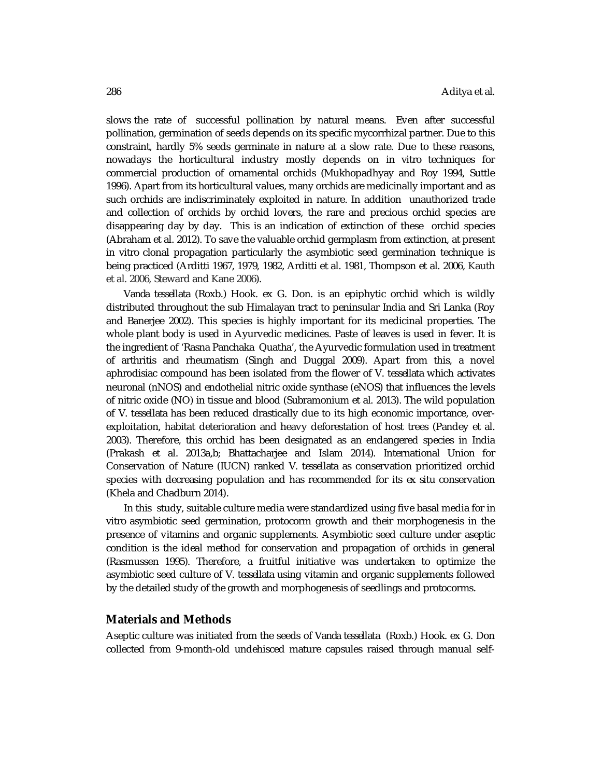slows the rate of successful pollination by natural means. Even after successful pollination, germination of seeds depends on its specific mycorrhizal partner. Due to this constraint, hardly 5% seeds germinate in nature at a slow rate. Due to these reasons, nowadays the horticultural industry mostly depends on *in vitro* techniques for commercial production of ornamental orchids (Mukhopadhyay and Roy 1994, Suttle 1996). Apart from its horticultural values, many orchids are medicinally important and as such orchids are indiscriminately exploited in nature. In addition unauthorized trade and collection of orchids by orchid lovers, the rare and precious orchid species are disappearing day by day. This is an indication of extinction of these orchid species (Abraham et al. 2012). To save the valuable orchid germplasm from extinction, at present *in vitro* clonal propagation particularly the asymbiotic seed germination technique is being practiced (Arditti 1967, 1979, 1982, Arditti et al. 1981, Thompson et al. 2006, Kauth et al. 2006, Steward and Kane 2006).

*Vanda tessellata* (Roxb.) Hook. ex G. Don. is an epiphytic orchid which is wildly distributed throughout the sub Himalayan tract to peninsular India and Sri Lanka (Roy and Banerjee 2002). This species is highly important for its medicinal properties. The whole plant body is used in Ayurvedic medicines. Paste of leaves is used in fever. It is the ingredient of 'Rasna Panchaka Quatha', the Ayurvedic formulation used in treatment of arthritis and rheumatism (Singh and Duggal 2009). Apart from this, a novel aphrodisiac compound has been isolated from the flower of *V. tessellata* which activates neuronal (nNOS) and endothelial nitric oxide synthase (eNOS) that influences the levels of nitric oxide (NO) in tissue and blood (Subramonium et al. 2013). The wild population of *V. tessellata* has been reduced drastically due to its high economic importance, overexploitation, habitat deterioration and heavy deforestation of host trees (Pandey et al. 2003). Therefore, this orchid has been designated as an endangered species in India (Prakash et al. 2013a,b; Bhattacharjee and Islam 2014). International Union for Conservation of Nature (IUCN) ranked *V. tessellata* as conservation prioritized orchid species with decreasing population and has recommended for its *ex situ* conservation (Khela and Chadburn 2014).

In this study, suitable culture media were standardized using five basal media for *in vitro* asymbiotic seed germination, protocorm growth and their morphogenesis in the presence of vitamins and organic supplements. Asymbiotic seed culture under aseptic condition is the ideal method for conservation and propagation of orchids in general (Rasmussen 1995). Therefore, a fruitful initiative was undertaken to optimize the asymbiotic seed culture of *V. tessellata* using vitamin and organic supplements followed by the detailed study of the growth and morphogenesis of seedlings and protocorms.

#### **Materials and Methods**

Aseptic culture was initiated from the seeds of *Vanda tessellata* (Roxb.) Hook. ex G. Don collected from 9-month-old undehisced mature capsules raised through manual self-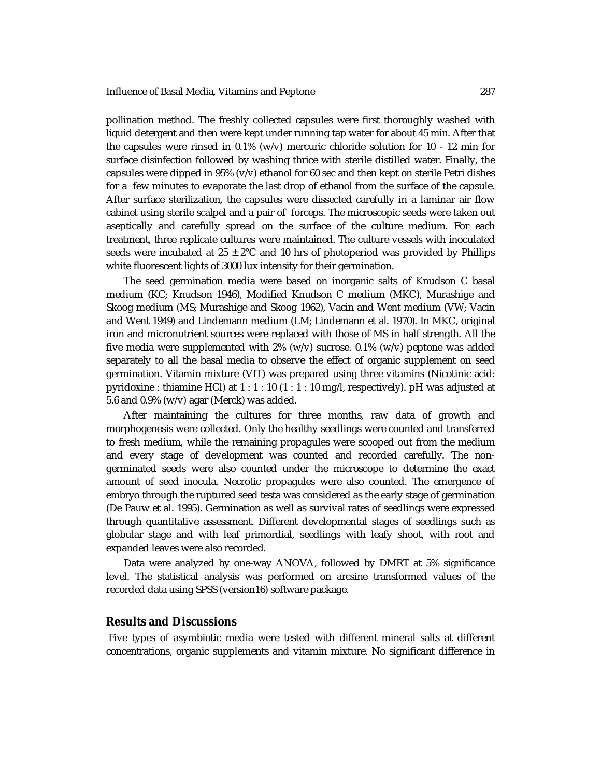pollination method. The freshly collected capsules were first thoroughly washed with liquid detergent and then were kept under running tap water for about 45 min. After that the capsules were rinsed in 0.1% (w/v) mercuric chloride solution for 10 - 12 min for surface disinfection followed by washing thrice with sterile distilled water. Finally, the capsules were dipped in 95% (v/v) ethanol for 60 sec and then kept on sterile Petri dishes for a few minutes to evaporate the last drop of ethanol from the surface of the capsule. After surface sterilization, the capsules were dissected carefully in a laminar air flow cabinet using sterile scalpel and a pair of forceps. The microscopic seeds were taken out aseptically and carefully spread on the surface of the culture medium. For each treatment, three replicate cultures were maintained. The culture vessels with inoculated seeds were incubated at  $25 \pm 2^{\circ}$ C and 10 hrs of photoperiod was provided by Phillips white fluorescent lights of 3000 lux intensity for their germination.

The seed germination media were based on inorganic salts of Knudson C basal medium (KC; Knudson 1946), Modified Knudson C medium (MKC), Murashige and Skoog medium (MS; Murashige and Skoog 1962), Vacin and Went medium (VW; Vacin and Went 1949) and Lindemann medium (LM; Lindemann et al. 1970). In MKC, original iron and micronutrient sources were replaced with those of MS in half strength. All the five media were supplemented with 2% (w/v) sucrose. 0.1% (w/v) peptone was added separately to all the basal media to observe the effect of organic supplement on seed germination. Vitamin mixture (VIT) was prepared using three vitamins (Nicotinic acid: pyridoxine : thiamine HCl) at  $1:1:10$  (1 : 1 : 10 mg/l, respectively). pH was adjusted at 5.6 and 0.9% (w/v) agar (Merck) was added.

After maintaining the cultures for three months, raw data of growth and morphogenesis were collected. Only the healthy seedlings were counted and transferred to fresh medium, while the remaining propagules were scooped out from the medium and every stage of development was counted and recorded carefully. The nongerminated seeds were also counted under the microscope to determine the exact amount of seed inocula. Necrotic propagules were also counted. The emergence of embryo through the ruptured seed testa was considered as the early stage of germination (De Pauw et al. 1995). Germination as well as survival rates of seedlings were expressed through quantitative assessment. Different developmental stages of seedlings such as globular stage and with leaf primordial, seedlings with leafy shoot, with root and expanded leaves were also recorded.

Data were analyzed by one-way ANOVA, followed by DMRT at 5% significance level. The statistical analysis was performed on arcsine transformed values of the recorded data using SPSS (version16) software package.

## **Results and Discussions**

Five types of asymbiotic media were tested with different mineral salts at different concentrations, organic supplements and vitamin mixture. No significant difference in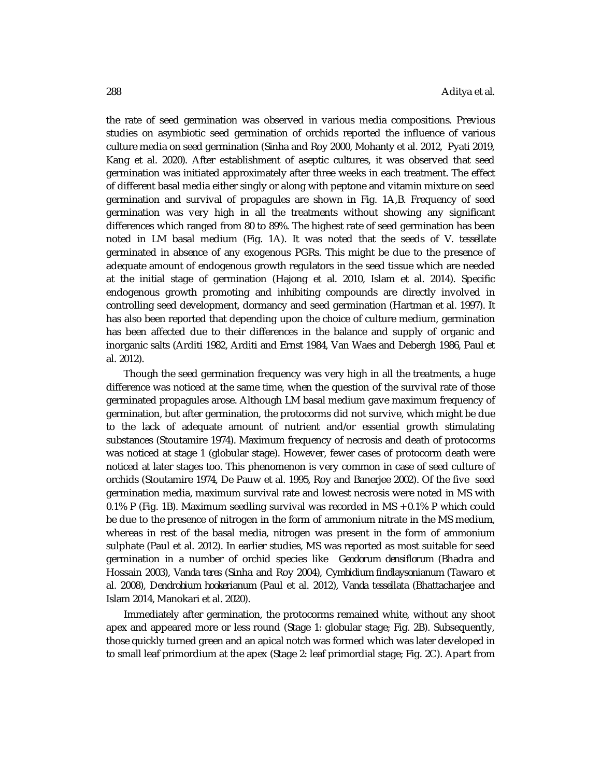the rate of seed germination was observed in various media compositions. Previous studies on asymbiotic seed germination of orchids reported the influence of various culture media on seed germination (Sinha and Roy 2000, Mohanty et al. 2012, Pyati 2019, Kang et al. 2020). After establishment of aseptic cultures, it was observed that seed germination was initiated approximately after three weeks in each treatment. The effect of different basal media either singly or along with peptone and vitamin mixture on seed germination and survival of propagules are shown in Fig. 1A,B. Frequency of seed germination was very high in all the treatments without showing any significant differences which ranged from 80 to 89%. The highest rate of seed germination has been noted in LM basal medium (Fig. 1A). It was noted that the seeds of *V. tessellate*  germinated in absence of any exogenous PGRs. This might be due to the presence of adequate amount of endogenous growth regulators in the seed tissue which are needed at the initial stage of germination (Hajong et al. 2010, Islam et al. 2014). Specific endogenous growth promoting and inhibiting compounds are directly involved in controlling seed development, dormancy and seed germination (Hartman et al. 1997). It has also been reported that depending upon the choice of culture medium, germination has been affected due to their differences in the balance and supply of organic and inorganic salts (Arditi 1982, Arditi and Ernst 1984, Van Waes and Debergh 1986, Paul et al. 2012).

Though the seed germination frequency was very high in all the treatments, a huge difference was noticed at the same time, when the question of the survival rate of those germinated propagules arose. Although LM basal medium gave maximum frequency of germination, but after germination, the protocorms did not survive, which might be due to the lack of adequate amount of nutrient and/or essential growth stimulating substances (Stoutamire 1974). Maximum frequency of necrosis and death of protocorms was noticed at stage 1 (globular stage). However, fewer cases of protocorm death were noticed at later stages too. This phenomenon is very common in case of seed culture of orchids (Stoutamire 1974, De Pauw et al. 1995, Roy and Banerjee 2002). Of the five seed germination media, maximum survival rate and lowest necrosis were noted in MS with 0.1% P (Fig. 1B). Maximum seedling survival was recorded in MS + 0.1% P which could be due to the presence of nitrogen in the form of ammonium nitrate in the MS medium, whereas in rest of the basal media, nitrogen was present in the form of ammonium sulphate (Paul et al. 2012). In earlier studies, MS was reported as most suitable for seed germination in a number of orchid species like *Geodorum densiflorum* (Bhadra and Hossain 2003), *Vanda teres* (Sinha and Roy 2004), *Cymbidium findlaysonianum* (Tawaro et al. 2008), *Dendrobium hookerianum* (Paul et al. 2012), *Vanda tessellata* (Bhattacharjee and Islam 2014, Manokari et al. 2020).

Immediately after germination, the protocorms remained white, without any shoot apex and appeared more or less round (Stage 1: globular stage; Fig. 2B). Subsequently, those quickly turned green and an apical notch was formed which was later developed in to small leaf primordium at the apex (Stage 2: leaf primordial stage; Fig. 2C). Apart from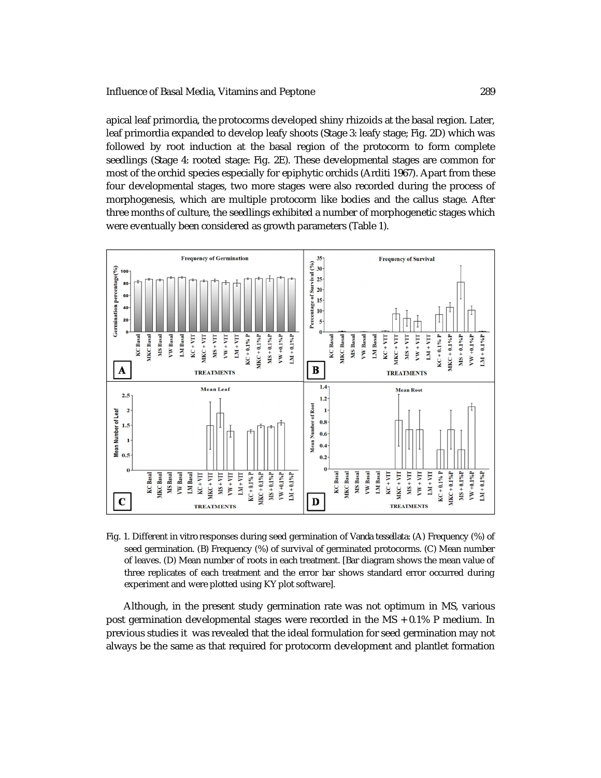apical leaf primordia, the protocorms developed shiny rhizoids at the basal region. Later, leaf primordia expanded to develop leafy shoots (Stage 3: leafy stage; Fig. 2D) which was followed by root induction at the basal region of the protocorm to form complete seedlings (Stage 4: rooted stage: Fig. 2E). These developmental stages are common for most of the orchid species especially for epiphytic orchids (Arditi 1967). Apart from these four developmental stages, two more stages were also recorded during the process of morphogenesis, which are multiple protocorm like bodies and the callus stage. After three months of culture, the seedlings exhibited a number of morphogenetic stages which were eventually been considered as growth parameters (Table 1).



Fig. 1. Different *in vitro* responses during seed germination of *Vanda tessellata*: (A) Frequency (%) of seed germination*.* (B) Frequency (%) of survival of germinated protocorms. (C) Mean number of leaves. (D) Mean number of roots in each treatment. [Bar diagram shows the mean value of three replicates of each treatment and the error bar shows standard error occurred during experiment and were plotted using KY plot software].

Although, in the present study germination rate was not optimum in MS, various post germination developmental stages were recorded in the MS + 0.1% P medium. In previous studies it was revealed that the ideal formulation for seed germination may not always be the same as that required for protocorm development and plantlet formation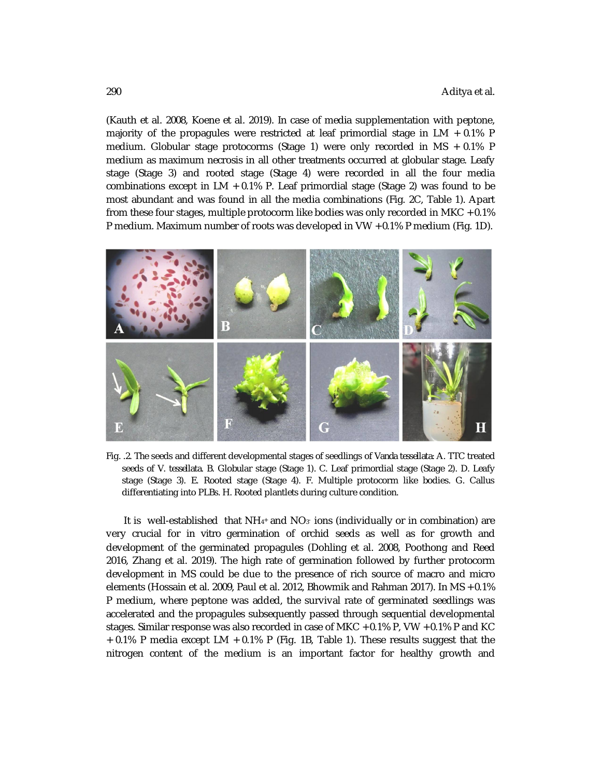(Kauth et al. 2008, Koene et al. 2019). In case of media supplementation with peptone, majority of the propagules were restricted at leaf primordial stage in  $LM + 0.1\%$  P medium. Globular stage protocorms (Stage 1) were only recorded in MS + 0.1% P medium as maximum necrosis in all other treatments occurred at globular stage. Leafy stage (Stage 3) and rooted stage (Stage 4) were recorded in all the four media combinations except in  $LM + 0.1\%$  P. Leaf primordial stage (Stage 2) was found to be most abundant and was found in all the media combinations (Fig. 2C, Table 1). Apart from these four stages, multiple protocorm like bodies was only recorded in MKC  $+0.1\%$ P medium. Maximum number of roots was developed in VW + 0.1% P medium (Fig. 1D).



Fig. .2. The seeds and different developmental stages of seedlings of *Vanda tessellata*: A. TTC treated seeds of *V. tessellata.* B. Globular stage (Stage 1). C. Leaf primordial stage (Stage 2). D. Leafy stage (Stage 3). E. Rooted stage (Stage 4). F. Multiple protocorm like bodies. G. Callus differentiating into PLBs. H. Rooted plantlets during culture condition.

It is well-established that NH $_{4^*}$  and NO $_3$  ions (individually or in combination) are very crucial for *in vitro* germination of orchid seeds as well as for growth and development of the germinated propagules (Dohling et al. 2008, Poothong and Reed 2016, Zhang et al. 2019). The high rate of germination followed by further protocorm development in MS could be due to the presence of rich source of macro and micro elements (Hossain et al. 2009, Paul et al. 2012, Bhowmik and Rahman 2017). In MS + 0.1% P medium, where peptone was added, the survival rate of germinated seedlings was accelerated and the propagules subsequently passed through sequential developmental stages. Similar response was also recorded in case of MKC + 0.1% P, VW + 0.1% P and KC + 0.1% P media except LM + 0.1% P (Fig. 1B, Table 1). These results suggest that the nitrogen content of the medium is an important factor for healthy growth and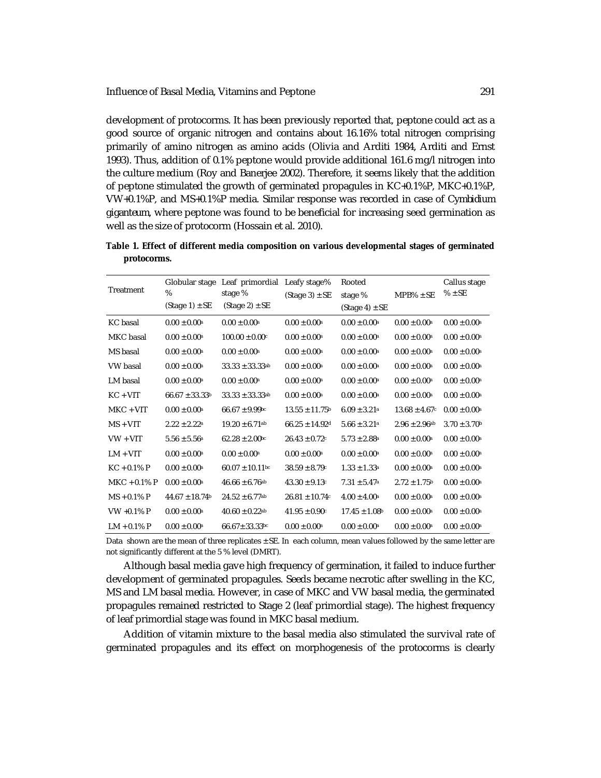development of protocorms. It has been previously reported that, peptone could act as a good source of organic nitrogen and contains about 16.16% total nitrogen comprising primarily of amino nitrogen as amino acids (Olivia and Arditi 1984, Arditi and Ernst 1993). Thus, addition of 0.1% peptone would provide additional 161.6 mg/l nitrogen into the culture medium (Roy and Banerjee 2002). Therefore, it seems likely that the addition of peptone stimulated the growth of germinated propagules in KC+0.1%P, MKC+0.1%P, VW+0.1%P, and MS+0.1%P media. Similar response was recorded in case of *Cymbidium giganteum*, where peptone was found to be beneficial for increasing seed germination as well as the size of protocorm (Hossain et al. 2010).

**Table 1. Effect of different media composition on various developmental stages of germinated protocorms.**

| Treatment      | Globular stage<br>%<br>$(Stage 1) \pm SE$ | Leaf primordial<br>stage %<br>$(Stage 2) \pm SE$ | Leafy stage%<br>$(Stage 3) \pm SE$ | Rooted<br>stage %             | $MPB\% \pm SE$                | Callus stage<br>$% \pm SE$   |
|----------------|-------------------------------------------|--------------------------------------------------|------------------------------------|-------------------------------|-------------------------------|------------------------------|
|                |                                           |                                                  |                                    | $(Stage 4) \pm SE$            |                               |                              |
| KC basal       | $0.00 \pm 0.00^{\text{a}}$                | $0.00 + 0.00^{\circ}$                            | $0.00 + 0.00$ <sup>a</sup>         | $0.00 \pm 0.00^{\text{a}}$    | $0.00 + 0.00^{\circ}$         | $0.00 + 0.00^{\circ}$        |
| MKC basal      | $0.00 \pm 0.00^{\text{a}}$                | $100.00 + 0.00c$                                 | $0.00 \pm 0.00$ <sup>a</sup>       | $0.00 \pm 0.00^{\text{a}}$    | $0.00 \pm 0.00$ <sup>a</sup>  | $0.00 \pm 0.00^{\circ}$      |
| MS basal       | $0.00 \pm 0.00^a$                         | $0.00 \pm 0.00^a$                                | $0.00 \pm 0.00$ <sup>a</sup>       | $0.00 \pm 0.00^a$             | $0.00 \pm 0.00$ <sup>a</sup>  | $0.00 \pm 0.00^a$            |
| VW basal       | $0.00 \pm 0.00^{\text{a}}$                | $33.33 \pm 33.33$ ab                             | $0.00 \pm 0.00$ <sup>a</sup>       | $0.00 \pm 0.00^{\text{a}}$    | $0.00 \pm 0.00^{\text{a}}$    | $0.00 \pm 0.00^{\circ}$      |
| LM basal       | $0.00 \pm 0.00^{\text{a}}$                | $0.00 \pm 0.00$ <sup>a</sup>                     | $0.00 \pm 0.00$ <sup>a</sup>       | $0.00 \pm 0.00^{\text{a}}$    | $0.00 \pm 0.00$ <sup>a</sup>  | $0.00 \pm 0.00^{\circ}$      |
| $KC + VIT$     | $66.67 \pm 33.33^b$                       | $33.33 \pm 33.33$ ab                             | $0.00 \pm 0.00$ <sup>a</sup>       | $0.00 \pm 0.00^{\text{a}}$    | $0.00 \pm 0.00$ <sup>a</sup>  | $0.00 \pm 0.00^{\circ}$      |
| $MKC + VIT$    | $0.00 \pm 0.00^{\text{a}}$                | $66.67 \pm 9.99$ bc                              | $13.55 \pm 11.75$ <sup>b</sup>     | $6.09 \pm 3.21$ <sup>a</sup>  | $13.68 \pm 4.67$ c            | $0.00 \pm 0.00^{\circ}$      |
| $MS + VIT$     | $2.22 \pm 2.22$ <sup>a</sup>              | $19.20 \pm 6.71$ <sup>ab</sup>                   | $66.25 + 14.92$ d                  | $5.66 \pm 3.21$ <sup>a</sup>  | $2.96 \pm 2.96$ <sup>ab</sup> | $3.70 \pm 3.70$ <sup>b</sup> |
| $VW + VIT$     | $5.56 \pm 5.56^{\circ}$                   | $62.28 \pm 2.00$ bc                              | $26.43 \pm 0.72$ c                 | $5.73 \pm 2.88^{\circ}$       | $0.00 \pm 0.00^{\rm a}$       | $0.00 \pm 0.00^{\circ}$      |
| $LM + VIT$     | $0.00 \pm 0.00^{\rm a}$                   | $0.00 \pm 0.00$ <sup>a</sup>                     | $0.00 \pm 0.00^{\rm a}$            | $0.00 \pm 0.00^{\text{a}}$    | $0.00 \pm 0.00$ <sup>a</sup>  | $0.00 \pm 0.00^{\circ}$      |
| $KC + 0.1% P$  | $0.00 \pm 0.00^{\text{a}}$                | $60.07 \pm 10.11$ bc                             | $38.59 \pm 8.79$ <sup>c</sup>      | $1.33 \pm 1.33$ <sup>a</sup>  | $0.00 \pm 0.00$ <sup>a</sup>  | $0.00 \pm 0.00^{\circ}$      |
| $MKC + 0.1% P$ | $0.00 \pm 0.00^{\text{a}}$                | $46.66 \pm 6.76$ <sup>ab</sup>                   | $43.30 \pm 9.13$ c                 | $7.31 \pm 5.47$ <sup>a</sup>  | $2.72 \pm 1.75$ <sup>b</sup>  | $0.00 \pm 0.00^{\circ}$      |
| $MS + 0.1% P$  | $44.67 \pm 18.74$ <sup>b</sup>            | $24.52 \pm 6.77$ <sup>ab</sup>                   | $26.81 \pm 10.74c$                 | $4.00 \pm 4.00^a$             | $0.00 \pm 0.00$ <sup>a</sup>  | $0.00 \pm 0.00^{\rm a}$      |
| VW +0.1% P     | $0.00 \pm 0.00^{\text{a}}$                | $40.60 \pm 0.22$ <sup>ab</sup>                   | $41.95 \pm 0.90^{\circ}$           | $17.45 \pm 1.08$ <sup>b</sup> | $0.00 \pm 0.00$ <sup>a</sup>  | $0.00 \pm 0.00^{\rm a}$      |
| $LM + 0.1% P$  | $0.00 \pm 0.00^{\text{a}}$                | $66.67 \pm 33.33$ bc                             | $0.00 \pm 0.00$ <sup>a</sup>       | $0.00 \pm 0.00^{\text{a}}$    | $0.00 \pm 0.00^{\circ}$       | $0.00 \pm 0.00^{\circ}$      |

Data shown are the mean of three replicates ± SE. In each column, mean values followed by the same letter are not significantly different at the 5 % level (DMRT).

Although basal media gave high frequency of germination, it failed to induce further development of germinated propagules. Seeds became necrotic after swelling in the KC, MS and LM basal media. However, in case of MKC and VW basal media, the germinated propagules remained restricted to Stage 2 (leaf primordial stage). The highest frequency of leaf primordial stage was found in MKC basal medium.

Addition of vitamin mixture to the basal media also stimulated the survival rate of germinated propagules and its effect on morphogenesis of the protocorms is clearly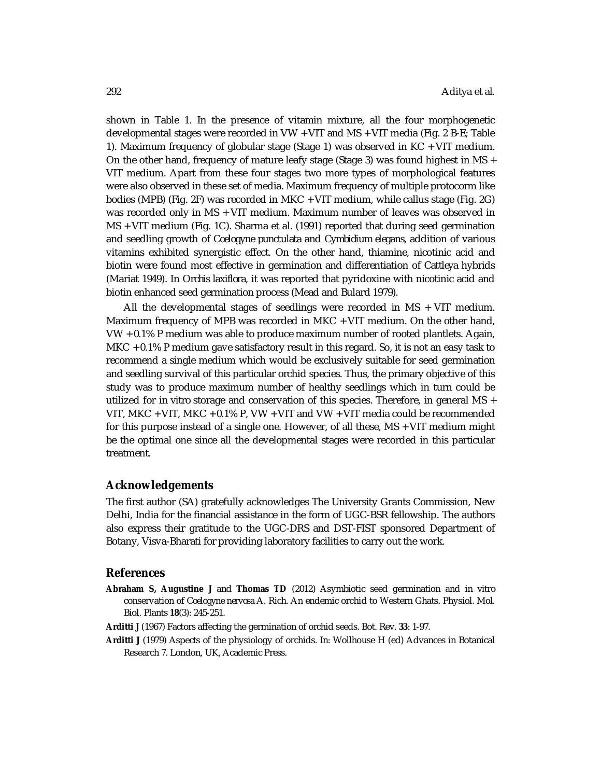shown in Table 1. In the presence of vitamin mixture, all the four morphogenetic developmental stages were recorded in VW + VIT and MS + VIT media (Fig. 2 B-E; Table 1). Maximum frequency of globular stage (Stage 1) was observed in KC + VIT medium. On the other hand, frequency of mature leafy stage (Stage 3) was found highest in MS + VIT medium. Apart from these four stages two more types of morphological features were also observed in these set of media. Maximum frequency of multiple protocorm like bodies (MPB) (Fig. 2F) was recorded in MKC + VIT medium, while callus stage (Fig. 2G) was recorded only in MS + VIT medium. Maximum number of leaves was observed in MS + VIT medium (Fig. 1C). Sharma et al. (1991) reported that during seed germination and seedling growth of *Coelogyne punctulata* and *Cymbidium elegans,* addition of various vitamins exhibited synergistic effect. On the other hand, thiamine, nicotinic acid and biotin were found most effective in germination and differentiation of *Cattleya* hybrids (Mariat 1949). In *Orchis laxiflora,* it was reported that pyridoxine with nicotinic acid and biotin enhanced seed germination process (Mead and Bulard 1979).

All the developmental stages of seedlings were recorded in MS + VIT medium. Maximum frequency of MPB was recorded in MKC + VIT medium. On the other hand, VW + 0.1% P medium was able to produce maximum number of rooted plantlets. Again, MKC + 0.1% P medium gave satisfactory result in this regard. So, it is not an easy task to recommend a single medium which would be exclusively suitable for seed germination and seedling survival of this particular orchid species. Thus, the primary objective of this study was to produce maximum number of healthy seedlings which in turn could be utilized for *in vitro* storage and conservation of this species. Therefore, in general MS + VIT, MKC + VIT, MKC + 0.1% P, VW + VIT and VW + VIT media could be recommended for this purpose instead of a single one. However, of all these, MS + VIT medium might be the optimal one since all the developmental stages were recorded in this particular treatment.

### **Acknowledgements**

The first author (SA) gratefully acknowledges The University Grants Commission, New Delhi, India for the financial assistance in the form of UGC-BSR fellowship. The authors also express their gratitude to the UGC-DRS and DST-FIST sponsored Department of Botany, Visva-Bharati for providing laboratory facilities to carry out the work.

#### **References**

- **Abraham S, Augustine J** and **Thomas TD** (2012) Asymbiotic seed germination and *in vitro*  conservation of *Coelogyne nervosa* A. Rich. An endemic orchid to Western Ghats. Physiol. Mol. Biol. Plants **18**(3): 245-251.
- **Arditti J** (1967) Factors affecting the germination of orchid seeds. Bot. Rev. **33**: 1-97.
- **Arditti J** (1979) Aspects of the physiology of orchids. *In:* Wollhouse H (ed) Advances in Botanical Research 7. London, UK, Academic Press.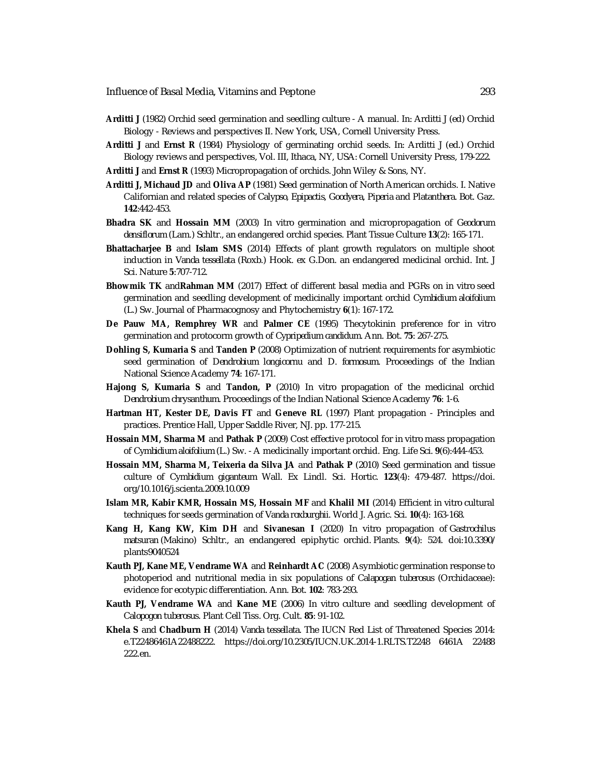Influence of Basal Media, Vitamins and Peptone 293

- **Arditti J** (1982) Orchid seed germination and seedling culture A manual. *In:* Arditti J (ed) Orchid Biology - Reviews and perspectives II. New York, USA, Cornell University Press.
- **Arditti J** and **Ernst R** (1984) Physiology of germinating orchid seeds. *In:* Arditti J (ed.) Orchid Biology reviews and perspectives, Vol. III, Ithaca, NY, USA: Cornell University Press, 179-222.

**Arditti J** and **Ernst R** (1993) Micropropagation of orchids. John Wiley & Sons, NY.

- **Arditti J, Michaud JD** and **Oliva AP** (1981) Seed germination of North American orchids. I. Native Californian and related species of *Calypso, Epipactis, Goodyera, Piperia* and *Platanthera*. Bot. Gaz. **142**:442-453.
- **Bhadra SK** and **Hossain MM** (2003) *In vitro* germination and micropropagation of *Geodorum densiflorum* (Lam.) Schltr., an endangered orchid species. Plant Tissue Culture **13**(2): 165-171.
- **Bhattacharjee B** and **Islam SMS** (2014) Effects of plant growth regulators on multiple shoot induction in *Vanda tessellata* (Roxb.) Hook. ex G.Don. an endangered medicinal orchid. Int. J Sci. Nature **5**:707-712.
- **Bhowmik TK** and**Rahman MM** (2017) Effect of different basal media and PGRs on *in vitro* seed germination and seedling development of medicinally important orchid *Cymbidium aloifolium* (L.) Sw. Journal of Pharmacognosy and Phytochemistry **6**(1): 167-172.
- **De Pauw MA, Remphrey WR** and **Palmer CE** (1995) Thecytokinin preference for *in vitro* germination and protocorm growth of *Cypripedium candidum*. Ann. Bot. **75**: 267-275.
- **Dohling S, Kumaria S** and **Tanden P** (2008) Optimization of nutrient requirements for asymbiotic seed germination of *Dendrobium longicornu* and *D. formosum*. Proceedings of the Indian National Science Academy **74**: 167-171.
- **Hajong S, Kumaria S** and **Tandon, P** (2010) *In vitro* propagation of the medicinal orchid *Dendrobium chrysanthum*. Proceedings of the Indian National Science Academy **76**: 1-6.
- **Hartman HT, Kester DE, Davis FT** and **Geneve RL** (1997) Plant propagation Principles and practices. Prentice Hall, Upper Saddle River, NJ. pp. 177-215.
- **Hossain MM, Sharma M** and **Pathak P** (2009) Cost effective protocol for *in vitro* mass propagation of *Cymbidium aloifolium* (L.) Sw. - A medicinally important orchid. Eng. Life Sci. **9**(6):444-453.
- **Hossain MM, Sharma M, Teixeria da Silva JA** and **Pathak P** (2010) Seed germination and tissue culture of *Cymbidium giganteum* Wall. Ex Lindl. Sci. Hortic. **123**(4): 479-487. <https://doi.> org/10.1016/j.scienta.2009.10.009
- **Islam MR, Kabir KMR, Hossain MS, Hossain MF** and **Khalil MI** (2014) Efficient *in vitro* cultural techniques for seeds germination of *Vanda roxburghii*. World J. Agric. Sci. **10**(4): 163-168.
- **Kang H, Kang KW, Kim DH** and **Sivanesan I** (2020) *In vitro* propagation of *Gastrochilus matsuran* (Makino) Schltr., an endangered epiphytic orchid. Plants*.* **9**(4): 524. doi:10.3390/ plants9040524
- **Kauth PJ, Kane ME, Vendrame WA** and **Reinhardt AC** (2008) Asymbiotic germination response to photoperiod and nutritional media in six populations of *Calapogan tuberosus* (Orchidaceae): evidence for ecotypic differentiation. Ann. Bot. **102**: 783-293.
- **Kauth PJ, Vendrame WA** and **Kane ME** (2006) *In vitro* culture and seedling development of *Calopogon tuberosus*. Plant Cell Tiss. Org. Cult. **85**: 91-102.
- **Khela S** and **Chadburn H** (2014) *Vanda tessellata*. The IUCN Red List of Threatened Species 2014: e.T22486461A22488222. <https://doi.org/10.2305/IUCN.UK.2014-1.RLTS.T2248>6461A 22488 222.en.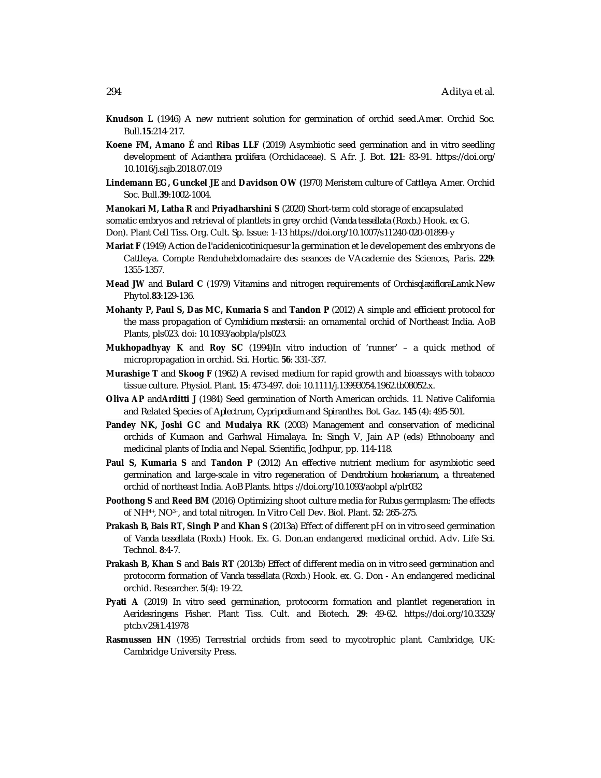- **Knudson L** (1946) A new nutrient solution for germination of orchid seed.Amer. Orchid Soc. Bull.**15**:214-217.
- **Koene FM, Amano É** and **Ribas LLF** (2019) Asymbiotic seed germination and *in vitro* seedling development of *Acianthera prolifera* (Orchidaceae). S. Afr. J. Bot. **121**: 83-91. <https://doi.org/> 10.1016/j.sajb.2018.07.019
- **Lindemann EG, Gunckel JE** and **Davidson OW (**1970) Meristem culture of *Cattleya*. Amer. Orchid Soc. Bull.**39**:1002-1004.

**Manokari M, Latha R** and **Priyadharshini S** (2020) Short-term cold storage of encapsulated

somatic embryos and retrieval of plantlets in grey orchid (*Vanda tessellata* (Roxb.) Hook. ex G.

Don). Plant Cell Tiss. Org. Cult. Sp. Issue: 1-13 <https://doi.org/10.1007/s11240-020-01899-y>

- **Mariat F** (1949) Action de l'acidenicotiniquesur la germination et le developement des embryons de Cattleya. Compte Renduhebdomadaire des seances de VAcademie des Sciences, Paris. **229**: 1355-1357.
- **Mead JW** and **Bulard C** (1979) Vitamins and nitrogen requirements of *Orchisqlaxiflora*Lamk.New Phytol.**83**:129-136.
- **Mohanty P, Paul S, Das MC, Kumaria S** and **Tandon P** (2012) A simple and efficient protocol for the mass propagation of *Cymbidium mastersii*: an ornamental orchid of Northeast India. AoB Plants, pls023. doi: 10.1093/aobpla/pls023.
- **Mukhopadhyay K** and **Roy SC** (1994)*In vitro* induction of 'runner' a quick method of micropropagation in orchid. Sci. Hortic. **56**: 331-337.
- **Murashige T** and **Skoog F** (1962) A revised medium for rapid growth and bioassays with tobacco tissue culture. Physiol. Plant. **15**: 473-497. doi: 10.1111/j.13993054.1962.tb08052.x.
- **Oliva AP** and**Arditti J** (1984) Seed germination of North American orchids. 11. Native California and Related Species of *Aplectrum*, *Cypripedium* and *Spiranthes*. Bot. Gaz. **145** (4): 495-501.
- **Pandey NK, Joshi GC** and **Mudaiya RK** (2003) Management and conservation of medicinal orchids of Kumaon and Garhwal Himalaya. *In:* Singh V, Jain AP (eds) Ethnoboany and medicinal plants of India and Nepal. Scientific, Jodhpur, pp. 114-118.
- **Paul S, Kumaria S** and **Tandon P** (2012) An effective nutrient medium for asymbiotic seed germination and large-scale *in vitro* regeneration of *Dendrobium hookerianum*, a threatened orchid of northeast India. AoB Plants. https ://doi.org/10.1093/aobpl a/plr032
- **Poothong S** and **Reed BM** (2016) Optimizing shoot culture media for *Rubus* germplasm: The effects of NH4+, NO3<sup>−</sup> , and total nitrogen. In Vitro Cell Dev. Biol. Plant. **52**: 265-275.
- **Prakash B, Bais RT, Singh P** and **Khan S** (2013a) Effect of different pH on *in vitro* seed germination of *Vanda tessellata* (Roxb.) Hook. Ex. G. Don.an endangered medicinal orchid. Adv. Life Sci. Technol. **8**:4-7.
- **Prakash B, Khan S** and **Bais RT** (2013b) Effect of different media on *in vitro* seed germination and protocorm formation of *Vanda tessellata* (Roxb.) Hook. ex. G. Don - An endangered medicinal orchid. Researcher. **5**(4): 19-22.
- **Pyati A** (2019) *In vitro* seed germination, protocorm formation and plantlet regeneration in *Aeridesringens* Fisher. Plant Tiss. Cult. and Biotech. **29**: 49-62. <https://doi.org/10.3329/> ptcb.v29i1.41978
- **Rasmussen HN** (1995) Terrestrial orchids from seed to mycotrophic plant. Cambridge, UK: Cambridge University Press.